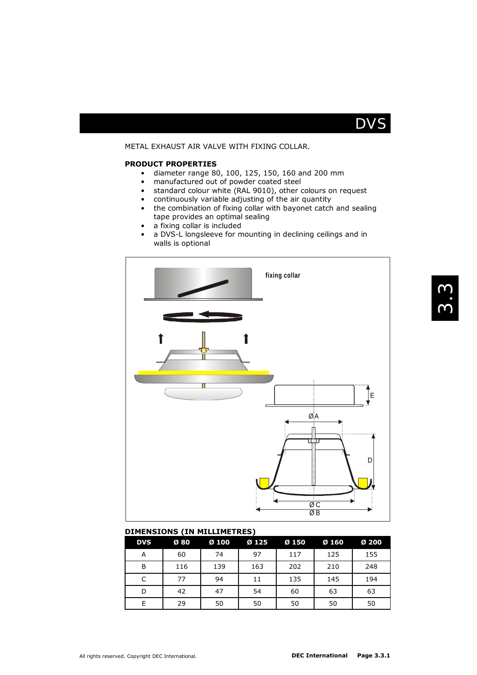

## METAL EXHAUST AIR VALVE WITH FIXING COLLAR.

#### **PRODUCT PROPERTIES**

- diameter range 80, 100, 125, 150, 160 and 200 mm
- manufactured out of powder coated steel
- standard colour white (RAL 9010), other colours on request
- continuously variable adjusting of the air quantity
- the combination of fixing collar with bayonet catch and sealing tape provides an optimal sealing
- a fixing collar is included
- a DVS-L longsleeve for mounting in declining ceilings and in walls is optional



### **DIMENSIONS (IN MILLIMETRES)**

| <b>DVS</b> | Ø80 | Ø 100 | Ø 125 | Ø 150 | Ø 160 | Ø 200 |
|------------|-----|-------|-------|-------|-------|-------|
| А          | 60  | 74    | 97    | 117   | 125   | 155   |
| B          | 116 | 139   | 163   | 202   | 210   | 248   |
| C          | 77  | 94    | 11    | 135   | 145   | 194   |
| D          | 42  | 47    | 54    | 60    | 63    | 63    |
| E          | 29  | 50    | 50    | 50    | 50    | 50    |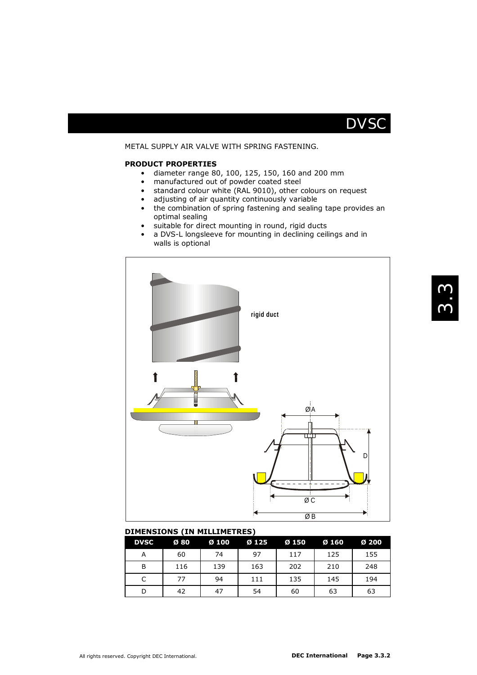

## METAL SUPPLY AIR VALVE WITH SPRING FASTENING.

#### **PRODUCT PROPERTIES**

- diameter range 80, 100, 125, 150, 160 and 200 mm
- manufactured out of powder coated steel
- standard colour white (RAL 9010), other colours on request
- adjusting of air quantity continuously variable
- the combination of spring fastening and sealing tape provides an optimal sealing
- suitable for direct mounting in round, rigid ducts
- a DVS-L longsleeve for mounting in declining ceilings and in walls is optional



### **DIMENSIONS (IN MILLIMETRES)**

| <b>DVSC</b> | Ø 80 | Ø 100 | Ø 125 | Ø 150 | Ø 160 | Ø 200 |
|-------------|------|-------|-------|-------|-------|-------|
| А           | 60   | 74    | 97    | 117   | 125   | 155   |
| B           | 116  | 139   | 163   | 202   | 210   | 248   |
| C           | 77   | 94    | 111   | 135   | 145   | 194   |
| D           | 42   | 47    | 54    | 60    | 63    | 63    |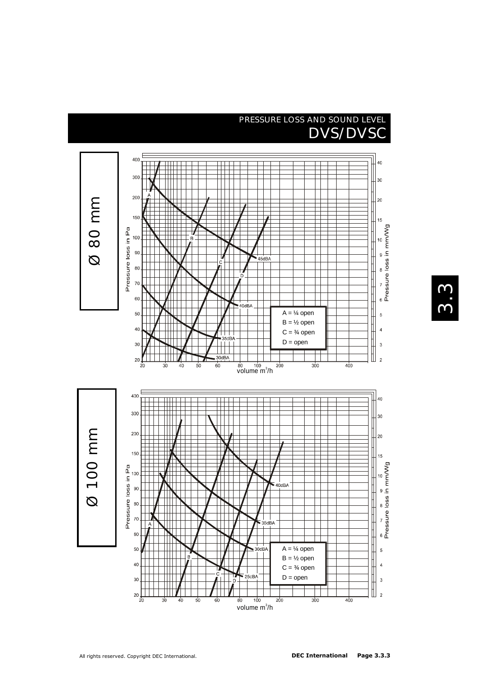# PRESSURE LOSS AND SOUND LEVEL DVS/DVSC



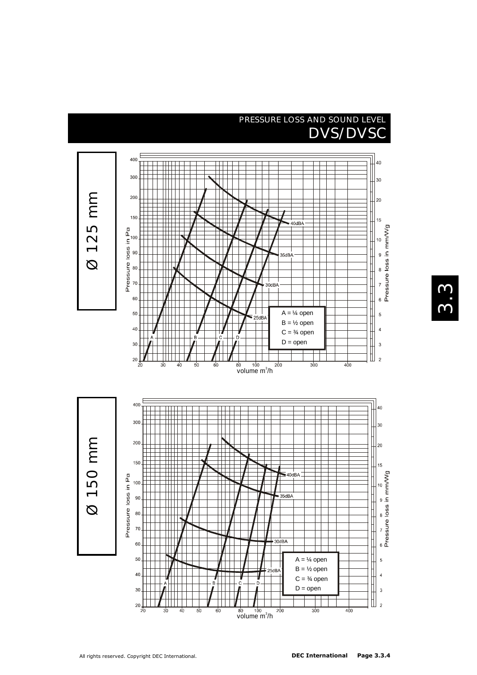## PRESSURE LOSS AND SOUND LEVEL DVS/DVSC